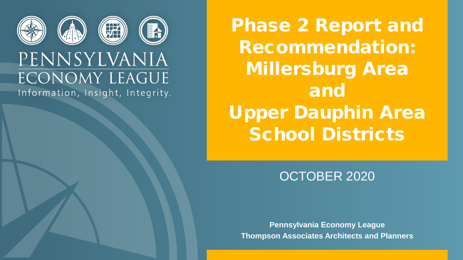

### PENNSYLVANIA **ECONOMY LEAGUE** Information, Insight, Integrity.

Phase 2 Report and Recommendation: Millersburg Area and Upper Dauphin Area School Districts

### OCTOBER 2020

**Pennsylvania Economy League Thompson Associates Architects and Planners**

Millersburg Area and Upper Dauphin Area School Districts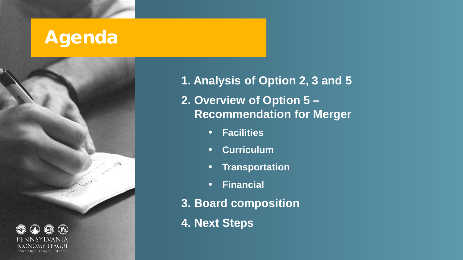## Agenda



**1. Analysis of Option 2, 3 and 5 2. Overview of Option 5 – Recommendation for Merger**

- **Facilities**
- **Curriculum**
- **Transportation**
- **Financial**
- **3. Board composition**
- **4. Next Steps**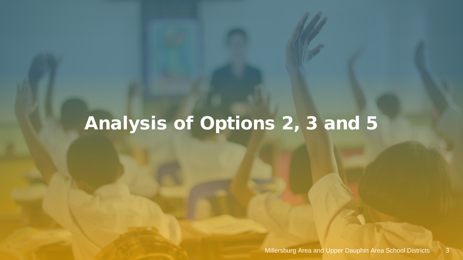# Analysis of Options 2, 3 and 5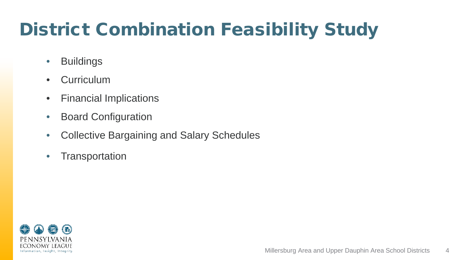# District Combination Feasibility Study

- Buildings
- Curriculum
- Financial Implications
- Board Configuration
- Collective Bargaining and Salary Schedules
- Transportation

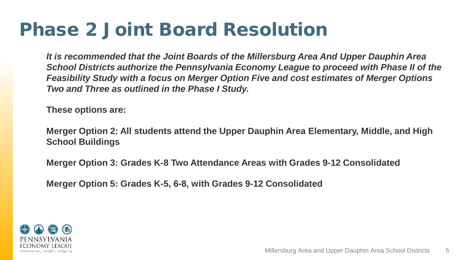### Phase 2 Joint Board Resolution

*It is recommended that the Joint Boards of the Millersburg Area And Upper Dauphin Area School Districts authorize the Pennsylvania Economy League to proceed with Phase II of the Feasibility Study with a focus on Merger Option Five and cost estimates of Merger Options Two and Three as outlined in the Phase I Study.*

**These options are:**

**Merger Option 2: All students attend the Upper Dauphin Area Elementary, Middle, and High School Buildings**

**Merger Option 3: Grades K-8 Two Attendance Areas with Grades 9-12 Consolidated**

**Merger Option 5: Grades K-5, 6-8, with Grades 9-12 Consolidated**

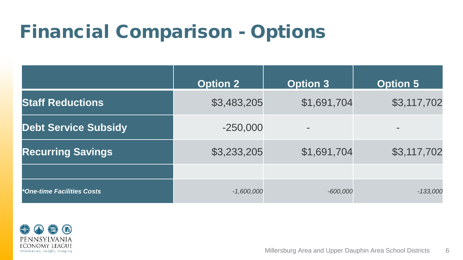## Financial Comparison - Options

|                             | <b>Option 2</b> | <b>Option 3</b>   | <b>Option 5</b>          |
|-----------------------------|-----------------|-------------------|--------------------------|
| <b>Staff Reductions</b>     | \$3,483,205     | \$1,691,704       | \$3,117,702              |
| <b>Debt Service Subsidy</b> | $-250,000$      | $\qquad \qquad =$ | $\overline{\phantom{a}}$ |
| <b>Recurring Savings</b>    | \$3,233,205     | \$1,691,704       | \$3,117,702              |
|                             |                 |                   |                          |
| *One-time Facilities Costs  | $-1,600,000$    | $-600,000$        | $-133,000$               |

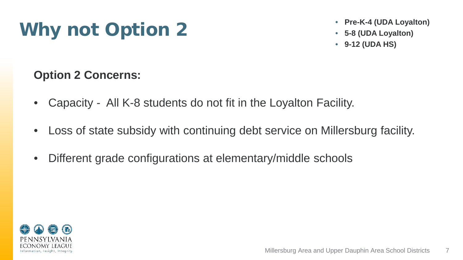# Why not Option 2

- **Pre-K-4 (UDA Loyalton)**
- **5-8 (UDA Loyalton)**
- **9-12 (UDA HS)**

### **Option 2 Concerns:**

- Capacity All K-8 students do not fit in the Loyalton Facility.
- Loss of state subsidy with continuing debt service on Millersburg facility.
- Different grade configurations at elementary/middle schools

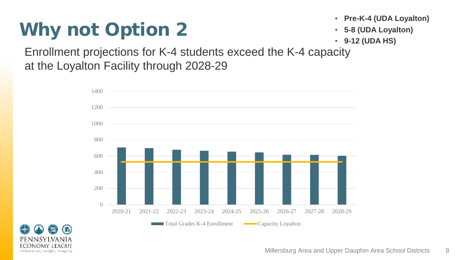# Why not Option 2

- **Pre-K-4 (UDA Loyalton)**
- **5-8 (UDA Loyalton)**
- **9-12 (UDA HS)**

Enrollment projections for K-4 students exceed the K-4 capacity at the Loyalton Facility through 2028-29



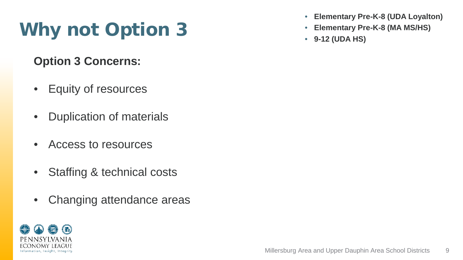# Why not Option 3

**Option 3 Concerns:** 

- Equity of resources
- Duplication of materials
- Access to resources
- Staffing & technical costs
- Changing attendance areas



- **Elementary Pre-K-8 (UDA Loyalton)**
- **Elementary Pre-K-8 (MA MS/HS)**
- **9-12 (UDA HS)**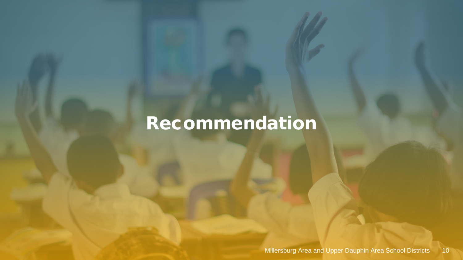### Recommendation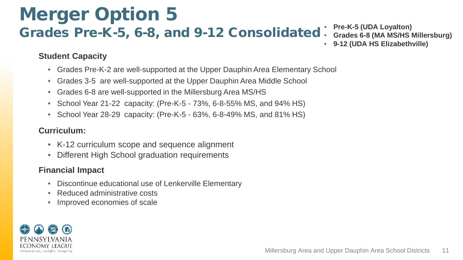#### Merger Option 5 Grades Pre-K-5, 6-8, and 9-12 Consolidated • **Pre-K-5 (UDA Loyalton)** • **Grades 6-8 (MA MS/HS Millersburg)** • **9-12 (UDA HS Elizabethville)**

#### **Student Capacity**

- Grades Pre-K-2 are well-supported at the Upper Dauphin Area Elementary School
- Grades 3-5 are well-supported at the Upper Dauphin Area Middle School
- Grades 6-8 are well-supported in the Millersburg Area MS/HS
- School Year 21-22 capacity: (Pre-K-5 73%, 6-8-55% MS, and 94% HS)
- School Year 28-29 capacity: (Pre-K-5 63%, 6-8-49% MS, and 81% HS)

#### **Curriculum:**

- K-12 curriculum scope and sequence alignment
- Different High School graduation requirements

#### **Financial Impact**

- Discontinue educational use of Lenkerville Elementary
- Reduced administrative costs
- Improved economies of scale

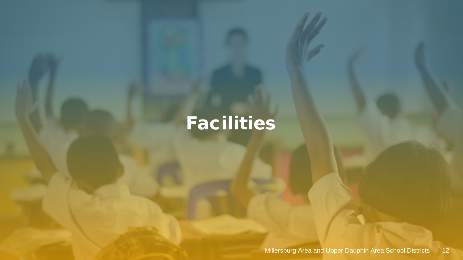# **Facilities**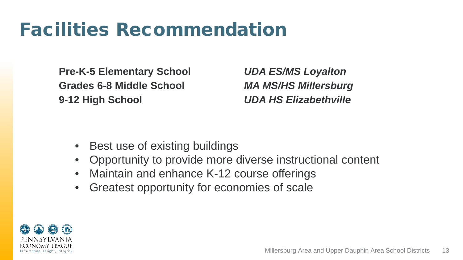## Facilities Recommendation

**Pre-K-5 Elementary School** *UDA ES/MS Loyalton* **Grades 6-8 Middle School** *MA MS/HS Millersburg* **9-12 High School** *UDA HS Elizabethville*

- Best use of existing buildings
- Opportunity to provide more diverse instructional content
- Maintain and enhance K-12 course offerings
- Greatest opportunity for economies of scale

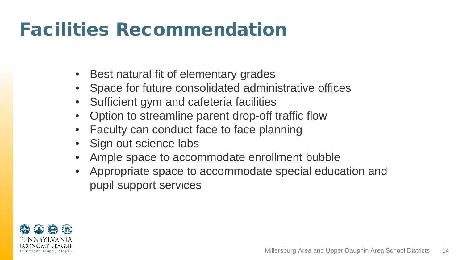## Facilities Recommendation

- Best natural fit of elementary grades
- Space for future consolidated administrative offices
- Sufficient gym and cafeteria facilities
- Option to streamline parent drop-off traffic flow
- Faculty can conduct face to face planning
- Sign out science labs
- Ample space to accommodate enrollment bubble
- Appropriate space to accommodate special education and pupil support services

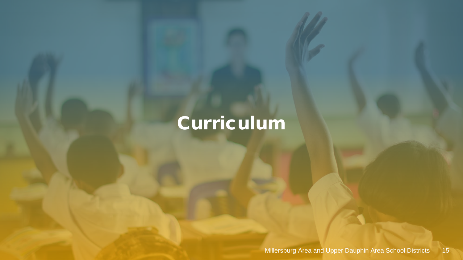# Curriculum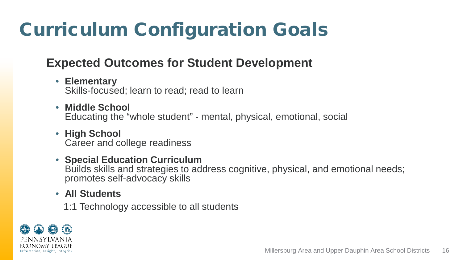# Curriculum Configuration Goals

### **Expected Outcomes for Student Development**

- **Elementary** Skills-focused; learn to read; read to learn
- **Middle School** Educating the "whole student" - mental, physical, emotional, social
- **High School** Career and college readiness
- **Special Education Curriculum** Builds skills and strategies to address cognitive, physical, and emotional needs; promotes self-advocacy skills
- **All Students**
	- 1:1 Technology accessible to all students

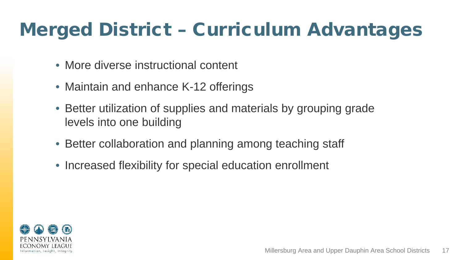# Merged District – Curriculum Advantages

- More diverse instructional content
- Maintain and enhance K-12 offerings
- Better utilization of supplies and materials by grouping grade levels into one building
- Better collaboration and planning among teaching staff
- Increased flexibility for special education enrollment

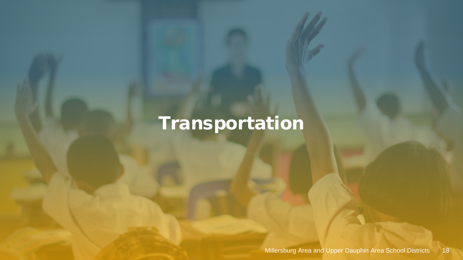# Transportation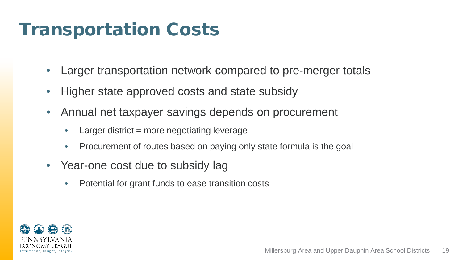### Transportation Costs

- Larger transportation network compared to pre-merger totals
- Higher state approved costs and state subsidy
- Annual net taxpayer savings depends on procurement
	- Larger district  $=$  more negotiating leverage
	- Procurement of routes based on paying only state formula is the goal
- Year-one cost due to subsidy lag
	- Potential for grant funds to ease transition costs

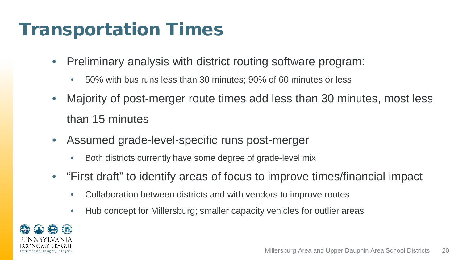### Transportation Times

- Preliminary analysis with district routing software program:
	- 50% with bus runs less than 30 minutes; 90% of 60 minutes or less
- Majority of post-merger route times add less than 30 minutes, most less than 15 minutes
- Assumed grade-level-specific runs post-merger
	- Both districts currently have some degree of grade-level mix
- "First draft" to identify areas of focus to improve times/financial impact
	- Collaboration between districts and with vendors to improve routes
	- Hub concept for Millersburg; smaller capacity vehicles for outlier areas

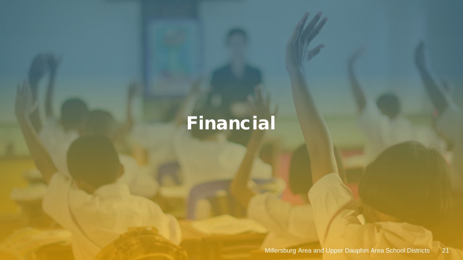# Financial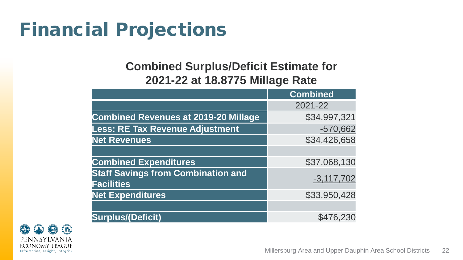## Financial Projections

### **Combined Surplus/Deficit Estimate for 2021-22 at 18.8775 Millage Rate**

|                                                                | <b>Combined</b> |  |
|----------------------------------------------------------------|-----------------|--|
|                                                                | 2021-22         |  |
| <b>Combined Revenues at 2019-20 Millage</b>                    | \$34,997,321    |  |
| <b>Less: RE Tax Revenue Adjustment</b>                         | $-570,662$      |  |
| <b>Net Revenues</b>                                            | \$34,426,658    |  |
|                                                                |                 |  |
| <b>Combined Expenditures</b>                                   | \$37,068,130    |  |
| <b>Staff Savings from Combination and</b><br><b>Facilities</b> | $-3, 117, 702$  |  |
| <b>Net Expenditures</b>                                        | \$33,950,428    |  |
|                                                                |                 |  |
| <b>Surplus/(Deficit)</b>                                       | \$476,230       |  |

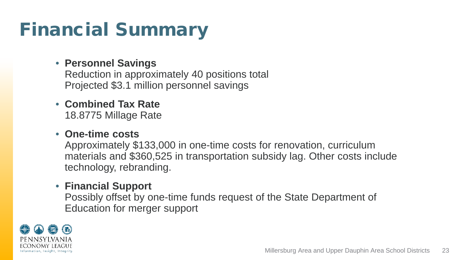## Financial Summary

### • **Personnel Savings**

Reduction in approximately 40 positions total Projected \$3.1 million personnel savings

### • **Combined Tax Rate**  18.8775 Millage Rate

### • **One-time costs**

Approximately \$133,000 in one-time costs for renovation, curriculum materials and \$360,525 in transportation subsidy lag. Other costs include technology, rebranding.

#### • **Financial Support**

Possibly offset by one-time funds request of the State Department of Education for merger support

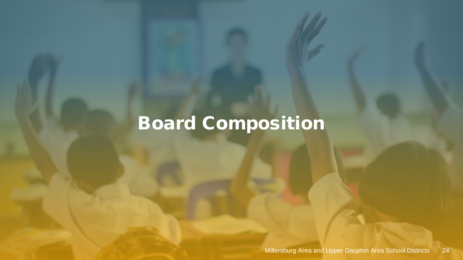# Board Composition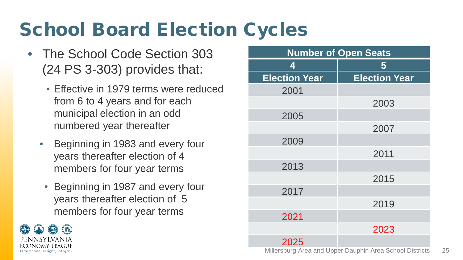# School Board Election Cycles

- The School Code Section 303 (24 PS 3-303) provides that:
	- Effective in 1979 terms were reduced from 6 to 4 years and for each municipal election in an odd numbered year thereafter
	- Beginning in 1983 and every four years thereafter election of 4 members for four year terms
	- Beginning in 1987 and every four years thereafter election of 5 members for four year terms



| <b>Number of Open Seats</b> |                      |  |  |  |
|-----------------------------|----------------------|--|--|--|
| 4                           | 5                    |  |  |  |
| <b>Election Year</b>        | <b>Election Year</b> |  |  |  |
| 2001                        |                      |  |  |  |
|                             | 2003                 |  |  |  |
| 2005                        |                      |  |  |  |
|                             | 2007                 |  |  |  |
| 2009                        |                      |  |  |  |
|                             | 2011                 |  |  |  |
| 2013                        |                      |  |  |  |
|                             | 2015                 |  |  |  |
| 2017                        |                      |  |  |  |
|                             | 2019                 |  |  |  |
| 2021                        |                      |  |  |  |
|                             | 2023                 |  |  |  |
| 2025                        |                      |  |  |  |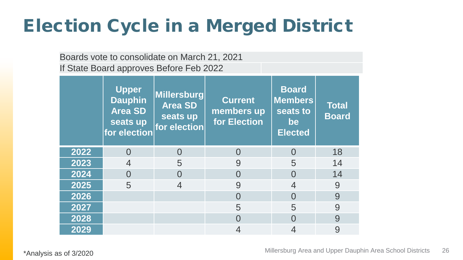## Election Cycle in a Merged District

Boards vote to consolidate on March 21, 2021 If State Board approves Before Feb 2022

|      | Upper<br><b>Dauphin</b><br><b>Area SD</b><br>seats up<br>for election | Millersburg<br><b>Area SD</b><br>seats up<br>for election | <b>Current</b><br>members up<br>for Election | <b>Board</b><br><b>Members</b><br>seats to<br>be<br><b>Elected</b> | <b>Total</b><br><b>Board</b> |
|------|-----------------------------------------------------------------------|-----------------------------------------------------------|----------------------------------------------|--------------------------------------------------------------------|------------------------------|
| 2022 | $\Omega$                                                              | O                                                         | $\bigcap$                                    | $\Omega$                                                           | 18                           |
| 2023 | 4                                                                     | 5                                                         | 9                                            | 5                                                                  | 14                           |
| 2024 |                                                                       | $\Omega$                                                  | $\Omega$                                     | $\mathcal{O}$                                                      | 14                           |
| 2025 | 5                                                                     |                                                           | 9                                            |                                                                    | 9                            |
| 2026 |                                                                       |                                                           | $\Omega$                                     | $\Omega$                                                           | 9                            |
| 2027 |                                                                       |                                                           | 5                                            | 5                                                                  | 9                            |
| 2028 |                                                                       |                                                           | $\Omega$                                     | ∩                                                                  | 9                            |
| 2029 |                                                                       |                                                           | 4                                            |                                                                    | 9                            |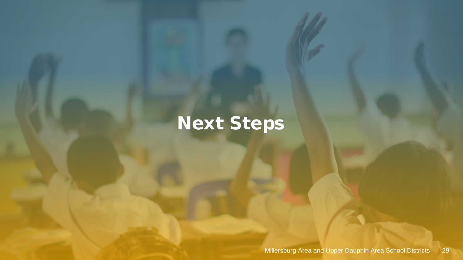# Next Steps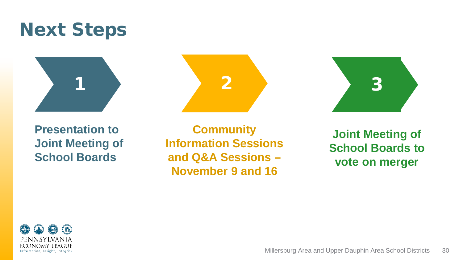## Next Steps





**Community Information Sessions and Q&A Sessions – November 9 and 16**



**Joint Meeting of School Boards to vote on merger**